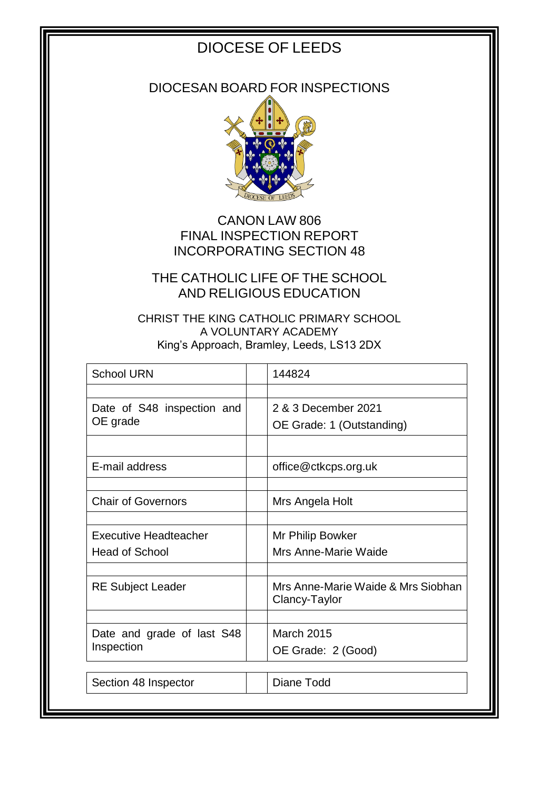# DIOCESE OF LEEDS

DIOCESAN BOARD FOR INSPECTIONS



CANON LAW 806 FINAL INSPECTION REPORT INCORPORATING SECTION 48

THE CATHOLIC LIFE OF THE SCHOOL AND RELIGIOUS EDUCATION

CHRIST THE KING CATHOLIC PRIMARY SCHOOL A VOLUNTARY ACADEMY King's Approach, Bramley, Leeds, LS13 2DX

| <b>School URN</b>            | 144824                                              |
|------------------------------|-----------------------------------------------------|
|                              |                                                     |
| Date of S48 inspection and   | 2 & 3 December 2021                                 |
| OE grade                     | OE Grade: 1 (Outstanding)                           |
|                              |                                                     |
| E-mail address               | office@ctkcps.org.uk                                |
|                              |                                                     |
| <b>Chair of Governors</b>    | Mrs Angela Holt                                     |
|                              |                                                     |
| <b>Executive Headteacher</b> | Mr Philip Bowker                                    |
| <b>Head of School</b>        | Mrs Anne-Marie Waide                                |
|                              |                                                     |
| <b>RE Subject Leader</b>     | Mrs Anne-Marie Waide & Mrs Siobhan<br>Clancy-Taylor |
|                              |                                                     |
| Date and grade of last S48   | <b>March 2015</b>                                   |
| Inspection                   | OE Grade: 2 (Good)                                  |
|                              |                                                     |
| Section 48 Inspector         | Diane Todd                                          |
|                              |                                                     |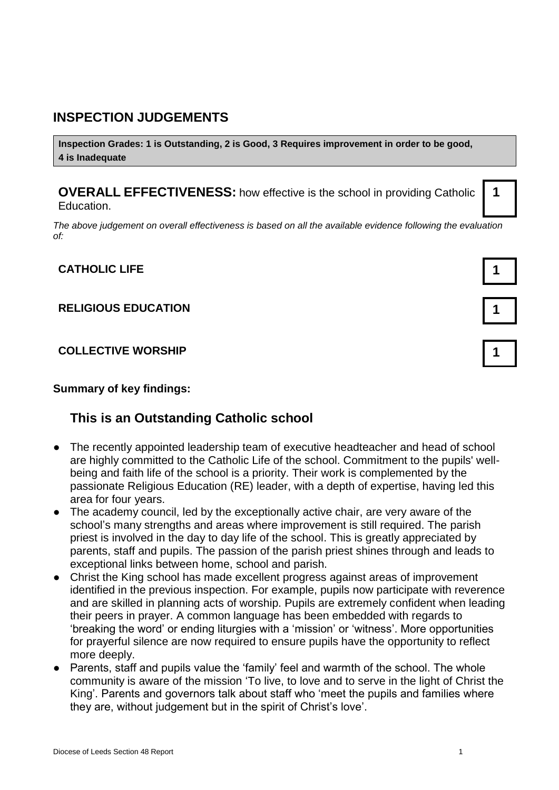#### **INSPECTION JUDGEMENTS**

**Inspection Grades: 1 is Outstanding, 2 is Good, 3 Requires improvement in order to be good, 4 is Inadequate**

**OVERALL EFFECTIVENESS:** how effective is the school in providing Catholic Education.

*The above judgement on overall effectiveness is based on all the available evidence following the evaluation of:*

**CATHOLIC LIFE 1**

#### **RELIGIOUS EDUCATION 1**

**COLLECTIVE WORSHIP 1**

#### **Summary of key findings:**

#### **This is an Outstanding Catholic school**

- The recently appointed leadership team of executive headteacher and head of school are highly committed to the Catholic Life of the school. Commitment to the pupils' wellbeing and faith life of the school is a priority. Their work is complemented by the passionate Religious Education (RE) leader, with a depth of expertise, having led this area for four years.
- The academy council, led by the exceptionally active chair, are very aware of the school's many strengths and areas where improvement is still required. The parish priest is involved in the day to day life of the school. This is greatly appreciated by parents, staff and pupils. The passion of the parish priest shines through and leads to exceptional links between home, school and parish.
- Christ the King school has made excellent progress against areas of improvement identified in the previous inspection. For example, pupils now participate with reverence and are skilled in planning acts of worship. Pupils are extremely confident when leading their peers in prayer. A common language has been embedded with regards to 'breaking the word' or ending liturgies with a 'mission' or 'witness'. More opportunities for prayerful silence are now required to ensure pupils have the opportunity to reflect more deeply.
- Parents, staff and pupils value the 'family' feel and warmth of the school. The whole community is aware of the mission 'To live, to love and to serve in the light of Christ the King'. Parents and governors talk about staff who 'meet the pupils and families where they are, without judgement but in the spirit of Christ's love'.

**1**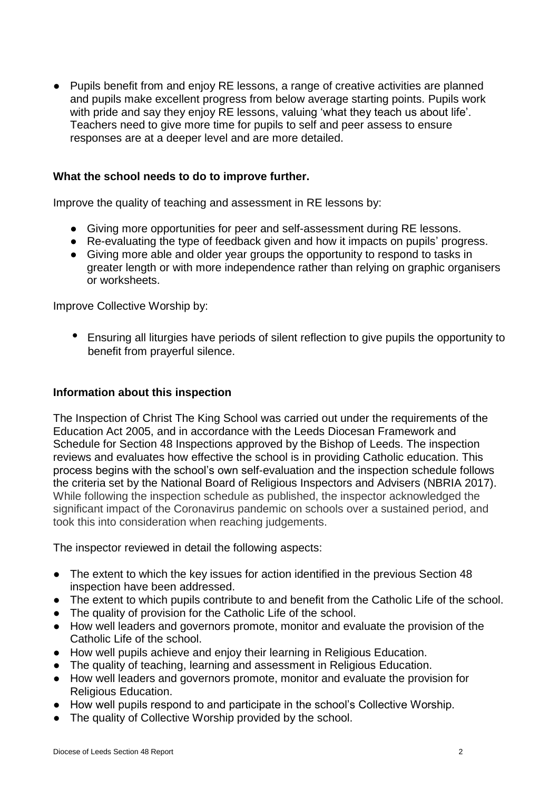● Pupils benefit from and enjoy RE lessons, a range of creative activities are planned and pupils make excellent progress from below average starting points. Pupils work with pride and say they enjoy RE lessons, valuing 'what they teach us about life'. Teachers need to give more time for pupils to self and peer assess to ensure responses are at a deeper level and are more detailed.

#### **What the school needs to do to improve further.**

Improve the quality of teaching and assessment in RE lessons by:

- Giving more opportunities for peer and self-assessment during RE lessons.
- Re-evaluating the type of feedback given and how it impacts on pupils' progress.
- Giving more able and older year groups the opportunity to respond to tasks in greater length or with more independence rather than relying on graphic organisers or worksheets.

Improve Collective Worship by:

 • Ensuring all liturgies have periods of silent reflection to give pupils the opportunity to benefit from prayerful silence.

#### **Information about this inspection**

The Inspection of Christ The King School was carried out under the requirements of the Education Act 2005, and in accordance with the Leeds Diocesan Framework and Schedule for Section 48 Inspections approved by the Bishop of Leeds. The inspection reviews and evaluates how effective the school is in providing Catholic education. This process begins with the school's own self-evaluation and the inspection schedule follows the criteria set by the National Board of Religious Inspectors and Advisers (NBRIA 2017). While following the inspection schedule as published, the inspector acknowledged the significant impact of the Coronavirus pandemic on schools over a sustained period, and took this into consideration when reaching judgements.

The inspector reviewed in detail the following aspects:

- The extent to which the key issues for action identified in the previous Section 48 inspection have been addressed.
- The extent to which pupils contribute to and benefit from the Catholic Life of the school.
- The quality of provision for the Catholic Life of the school.
- How well leaders and governors promote, monitor and evaluate the provision of the Catholic Life of the school.
- How well pupils achieve and enjoy their learning in Religious Education.
- The quality of teaching, learning and assessment in Religious Education.
- How well leaders and governors promote, monitor and evaluate the provision for Religious Education.
- How well pupils respond to and participate in the school's Collective Worship.
- The quality of Collective Worship provided by the school.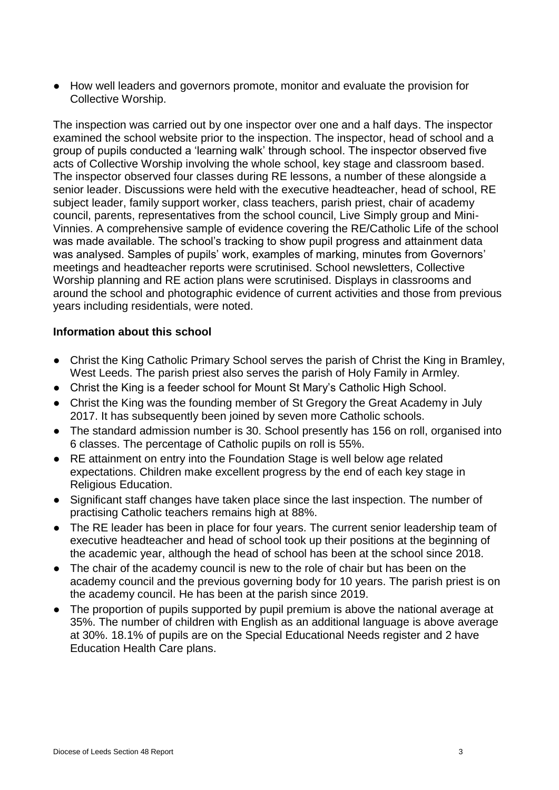● How well leaders and governors promote, monitor and evaluate the provision for Collective Worship.

The inspection was carried out by one inspector over one and a half days. The inspector examined the school website prior to the inspection. The inspector, head of school and a group of pupils conducted a 'learning walk' through school. The inspector observed five acts of Collective Worship involving the whole school, key stage and classroom based. The inspector observed four classes during RE lessons, a number of these alongside a senior leader. Discussions were held with the executive headteacher, head of school, RE subject leader, family support worker, class teachers, parish priest, chair of academy council, parents, representatives from the school council, Live Simply group and Mini-Vinnies. A comprehensive sample of evidence covering the RE/Catholic Life of the school was made available. The school's tracking to show pupil progress and attainment data was analysed. Samples of pupils' work, examples of marking, minutes from Governors' meetings and headteacher reports were scrutinised. School newsletters, Collective Worship planning and RE action plans were scrutinised. Displays in classrooms and around the school and photographic evidence of current activities and those from previous years including residentials, were noted.

#### **Information about this school**

- Christ the King Catholic Primary School serves the parish of Christ the King in Bramley, West Leeds. The parish priest also serves the parish of Holy Family in Armley.
- Christ the King is a feeder school for Mount St Mary's Catholic High School.
- Christ the King was the founding member of St Gregory the Great Academy in July 2017. It has subsequently been joined by seven more Catholic schools.
- The standard admission number is 30. School presently has 156 on roll, organised into 6 classes. The percentage of Catholic pupils on roll is 55%.
- RE attainment on entry into the Foundation Stage is well below age related expectations. Children make excellent progress by the end of each key stage in Religious Education.
- Significant staff changes have taken place since the last inspection. The number of practising Catholic teachers remains high at 88%.
- The RE leader has been in place for four years. The current senior leadership team of executive headteacher and head of school took up their positions at the beginning of the academic year, although the head of school has been at the school since 2018.
- The chair of the academy council is new to the role of chair but has been on the academy council and the previous governing body for 10 years. The parish priest is on the academy council. He has been at the parish since 2019.
- The proportion of pupils supported by pupil premium is above the national average at 35%. The number of children with English as an additional language is above average at 30%. 18.1% of pupils are on the Special Educational Needs register and 2 have Education Health Care plans.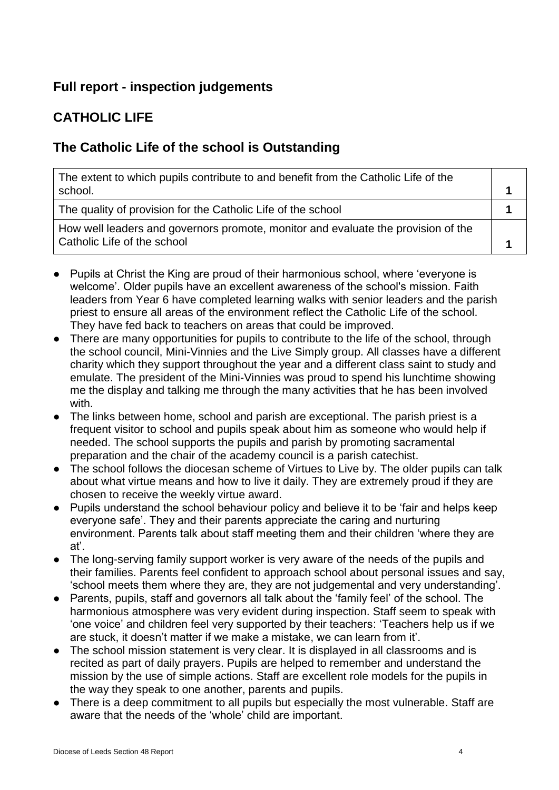# **Full report - inspection judgements**

# **CATHOLIC LIFE**

### **The Catholic Life of the school is Outstanding**

| The extent to which pupils contribute to and benefit from the Catholic Life of the<br>school.                    |  |
|------------------------------------------------------------------------------------------------------------------|--|
| The quality of provision for the Catholic Life of the school                                                     |  |
| How well leaders and governors promote, monitor and evaluate the provision of the<br>Catholic Life of the school |  |

- Pupils at Christ the King are proud of their harmonious school, where 'everyone is welcome'. Older pupils have an excellent awareness of the school's mission. Faith leaders from Year 6 have completed learning walks with senior leaders and the parish priest to ensure all areas of the environment reflect the Catholic Life of the school. They have fed back to teachers on areas that could be improved.
- There are many opportunities for pupils to contribute to the life of the school, through the school council, Mini-Vinnies and the Live Simply group. All classes have a different charity which they support throughout the year and a different class saint to study and emulate. The president of the Mini-Vinnies was proud to spend his lunchtime showing me the display and talking me through the many activities that he has been involved with.
- The links between home, school and parish are exceptional. The parish priest is a frequent visitor to school and pupils speak about him as someone who would help if needed. The school supports the pupils and parish by promoting sacramental preparation and the chair of the academy council is a parish catechist.
- The school follows the diocesan scheme of Virtues to Live by. The older pupils can talk about what virtue means and how to live it daily. They are extremely proud if they are chosen to receive the weekly virtue award.
- Pupils understand the school behaviour policy and believe it to be 'fair and helps keep everyone safe'. They and their parents appreciate the caring and nurturing environment. Parents talk about staff meeting them and their children 'where they are at'.
- The long-serving family support worker is very aware of the needs of the pupils and their families. Parents feel confident to approach school about personal issues and say, 'school meets them where they are, they are not judgemental and very understanding'.
- Parents, pupils, staff and governors all talk about the 'family feel' of the school. The harmonious atmosphere was very evident during inspection. Staff seem to speak with 'one voice' and children feel very supported by their teachers: 'Teachers help us if we are stuck, it doesn't matter if we make a mistake, we can learn from it'.
- The school mission statement is very clear. It is displayed in all classrooms and is recited as part of daily prayers. Pupils are helped to remember and understand the mission by the use of simple actions. Staff are excellent role models for the pupils in the way they speak to one another, parents and pupils.
- There is a deep commitment to all pupils but especially the most vulnerable. Staff are aware that the needs of the 'whole' child are important.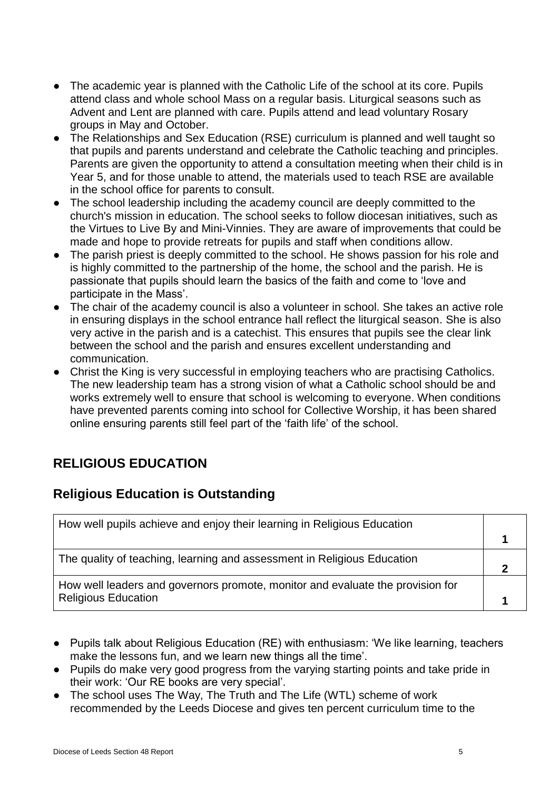- The academic year is planned with the Catholic Life of the school at its core. Pupils attend class and whole school Mass on a regular basis. Liturgical seasons such as Advent and Lent are planned with care. Pupils attend and lead voluntary Rosary groups in May and October.
- The Relationships and Sex Education (RSE) curriculum is planned and well taught so that pupils and parents understand and celebrate the Catholic teaching and principles. Parents are given the opportunity to attend a consultation meeting when their child is in Year 5, and for those unable to attend, the materials used to teach RSE are available in the school office for parents to consult.
- The school leadership including the academy council are deeply committed to the church's mission in education. The school seeks to follow diocesan initiatives, such as the Virtues to Live By and Mini-Vinnies. They are aware of improvements that could be made and hope to provide retreats for pupils and staff when conditions allow.
- The parish priest is deeply committed to the school. He shows passion for his role and is highly committed to the partnership of the home, the school and the parish. He is passionate that pupils should learn the basics of the faith and come to 'love and participate in the Mass'.
- The chair of the academy council is also a volunteer in school. She takes an active role in ensuring displays in the school entrance hall reflect the liturgical season. She is also very active in the parish and is a catechist. This ensures that pupils see the clear link between the school and the parish and ensures excellent understanding and communication.
- Christ the King is very successful in employing teachers who are practising Catholics. The new leadership team has a strong vision of what a Catholic school should be and works extremely well to ensure that school is welcoming to everyone. When conditions have prevented parents coming into school for Collective Worship, it has been shared online ensuring parents still feel part of the 'faith life' of the school.

### **RELIGIOUS EDUCATION**

#### **Religious Education is Outstanding**

| How well pupils achieve and enjoy their learning in Religious Education                                      |  |
|--------------------------------------------------------------------------------------------------------------|--|
|                                                                                                              |  |
| The quality of teaching, learning and assessment in Religious Education                                      |  |
| How well leaders and governors promote, monitor and evaluate the provision for<br><b>Religious Education</b> |  |

- Pupils talk about Religious Education (RE) with enthusiasm: 'We like learning, teachers make the lessons fun, and we learn new things all the time'.
- Pupils do make very good progress from the varying starting points and take pride in their work: 'Our RE books are very special'.
- The school uses The Way, The Truth and The Life (WTL) scheme of work recommended by the Leeds Diocese and gives ten percent curriculum time to the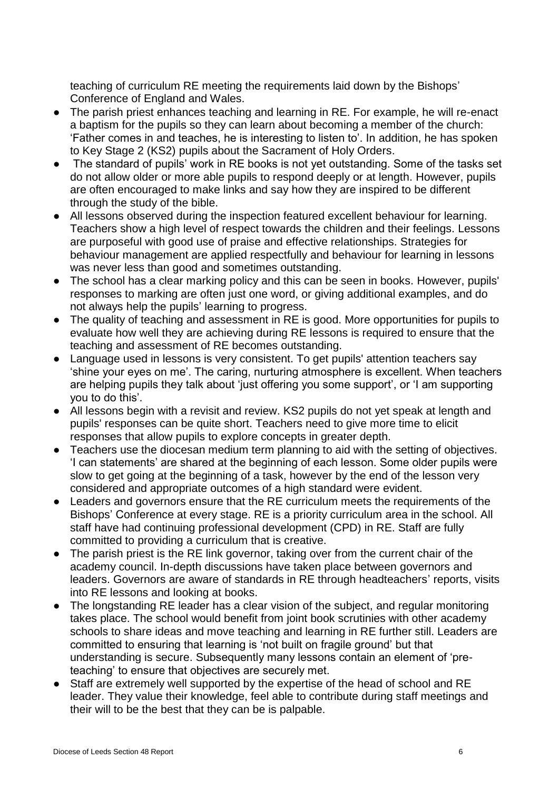teaching of curriculum RE meeting the requirements laid down by the Bishops' Conference of England and Wales.

- The parish priest enhances teaching and learning in RE. For example, he will re-enact a baptism for the pupils so they can learn about becoming a member of the church: 'Father comes in and teaches, he is interesting to listen to'. In addition, he has spoken to Key Stage 2 (KS2) pupils about the Sacrament of Holy Orders.
- The standard of pupils' work in RE books is not yet outstanding. Some of the tasks set do not allow older or more able pupils to respond deeply or at length. However, pupils are often encouraged to make links and say how they are inspired to be different through the study of the bible.
- All lessons observed during the inspection featured excellent behaviour for learning. Teachers show a high level of respect towards the children and their feelings. Lessons are purposeful with good use of praise and effective relationships. Strategies for behaviour management are applied respectfully and behaviour for learning in lessons was never less than good and sometimes outstanding.
- The school has a clear marking policy and this can be seen in books. However, pupils' responses to marking are often just one word, or giving additional examples, and do not always help the pupils' learning to progress.
- The quality of teaching and assessment in RE is good. More opportunities for pupils to evaluate how well they are achieving during RE lessons is required to ensure that the teaching and assessment of RE becomes outstanding.
- Language used in lessons is very consistent. To get pupils' attention teachers say 'shine your eyes on me'. The caring, nurturing atmosphere is excellent. When teachers are helping pupils they talk about 'just offering you some support', or 'I am supporting you to do this'.
- All lessons begin with a revisit and review. KS2 pupils do not yet speak at length and pupils' responses can be quite short. Teachers need to give more time to elicit responses that allow pupils to explore concepts in greater depth.
- Teachers use the diocesan medium term planning to aid with the setting of objectives. 'I can statements' are shared at the beginning of each lesson. Some older pupils were slow to get going at the beginning of a task, however by the end of the lesson very considered and appropriate outcomes of a high standard were evident.
- Leaders and governors ensure that the RE curriculum meets the requirements of the Bishops' Conference at every stage. RE is a priority curriculum area in the school. All staff have had continuing professional development (CPD) in RE. Staff are fully committed to providing a curriculum that is creative.
- The parish priest is the RE link governor, taking over from the current chair of the academy council. In-depth discussions have taken place between governors and leaders. Governors are aware of standards in RE through headteachers' reports, visits into RE lessons and looking at books.
- The longstanding RE leader has a clear vision of the subject, and regular monitoring takes place. The school would benefit from joint book scrutinies with other academy schools to share ideas and move teaching and learning in RE further still. Leaders are committed to ensuring that learning is 'not built on fragile ground' but that understanding is secure. Subsequently many lessons contain an element of 'preteaching' to ensure that objectives are securely met.
- Staff are extremely well supported by the expertise of the head of school and RE leader. They value their knowledge, feel able to contribute during staff meetings and their will to be the best that they can be is palpable.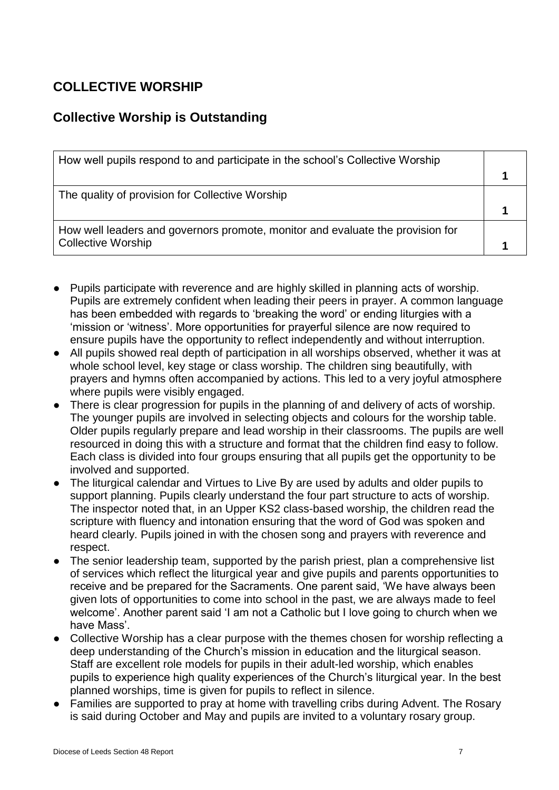# **COLLECTIVE WORSHIP**

### **Collective Worship is Outstanding**

| How well pupils respond to and participate in the school's Collective Worship  |  |
|--------------------------------------------------------------------------------|--|
|                                                                                |  |
| The quality of provision for Collective Worship                                |  |
|                                                                                |  |
| How well leaders and governors promote, monitor and evaluate the provision for |  |
| <b>Collective Worship</b>                                                      |  |

- Pupils participate with reverence and are highly skilled in planning acts of worship. Pupils are extremely confident when leading their peers in prayer. A common language has been embedded with regards to 'breaking the word' or ending liturgies with a 'mission or 'witness'. More opportunities for prayerful silence are now required to ensure pupils have the opportunity to reflect independently and without interruption.
- All pupils showed real depth of participation in all worships observed, whether it was at whole school level, key stage or class worship. The children sing beautifully, with prayers and hymns often accompanied by actions. This led to a very joyful atmosphere where pupils were visibly engaged.
- There is clear progression for pupils in the planning of and delivery of acts of worship. The younger pupils are involved in selecting objects and colours for the worship table. Older pupils regularly prepare and lead worship in their classrooms. The pupils are well resourced in doing this with a structure and format that the children find easy to follow. Each class is divided into four groups ensuring that all pupils get the opportunity to be involved and supported.
- The liturgical calendar and Virtues to Live By are used by adults and older pupils to support planning. Pupils clearly understand the four part structure to acts of worship. The inspector noted that, in an Upper KS2 class-based worship, the children read the scripture with fluency and intonation ensuring that the word of God was spoken and heard clearly. Pupils joined in with the chosen song and prayers with reverence and respect.
- The senior leadership team, supported by the parish priest, plan a comprehensive list of services which reflect the liturgical year and give pupils and parents opportunities to receive and be prepared for the Sacraments. One parent said, 'We have always been given lots of opportunities to come into school in the past, we are always made to feel welcome'. Another parent said 'I am not a Catholic but I love going to church when we have Mass'.
- Collective Worship has a clear purpose with the themes chosen for worship reflecting a deep understanding of the Church's mission in education and the liturgical season. Staff are excellent role models for pupils in their adult-led worship, which enables pupils to experience high quality experiences of the Church's liturgical year. In the best planned worships, time is given for pupils to reflect in silence.
- Families are supported to pray at home with travelling cribs during Advent. The Rosary is said during October and May and pupils are invited to a voluntary rosary group.